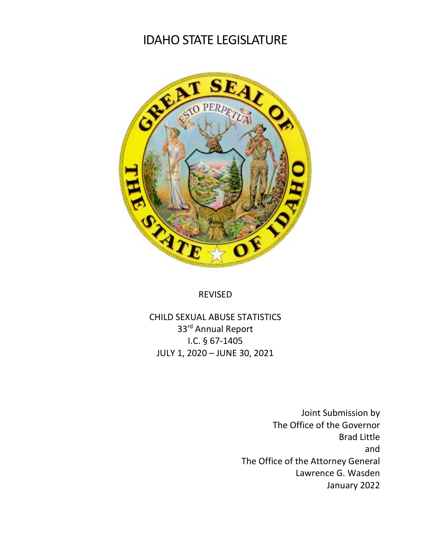# IDAHO STATE LEGISLATURE



REVISED

CHILD SEXUAL ABUSE STATISTICS 33rd Annual Report I.C. § 67-1405 JULY 1, 2020 – JUNE 30, 2021

> Joint Submission by The Office of the Governor Brad Little and The Office of the Attorney General Lawrence G. Wasden January 2022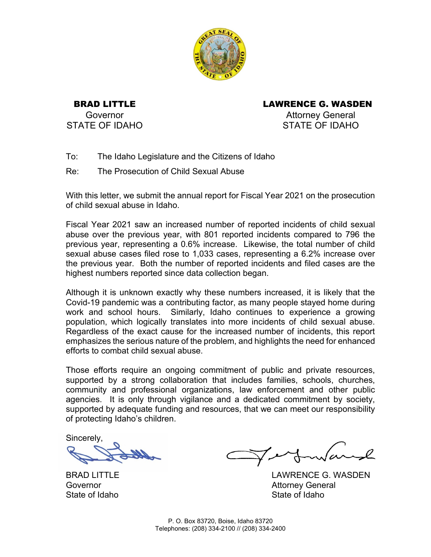

BRAD LITTLE Governor STATE OF IDAHO LAWRENCE G. WASDEN Attorney General STATE OF IDAHO

- To: The Idaho Legislature and the Citizens of Idaho
- Re: The Prosecution of Child Sexual Abuse

With this letter, we submit the annual report for Fiscal Year 2021 on the prosecution of child sexual abuse in Idaho.

Fiscal Year 2021 saw an increased number of reported incidents of child sexual abuse over the previous year, with 801 reported incidents compared to 796 the previous year, representing a 0.6% increase. Likewise, the total number of child sexual abuse cases filed rose to 1,033 cases, representing a 6.2% increase over the previous year. Both the number of reported incidents and filed cases are the highest numbers reported since data collection began.

Although it is unknown exactly why these numbers increased, it is likely that the Covid-19 pandemic was a contributing factor, as many people stayed home during work and school hours. Similarly, Idaho continues to experience a growing population, which logically translates into more incidents of child sexual abuse. Regardless of the exact cause for the increased number of incidents, this report emphasizes the serious nature of the problem, and highlights the need for enhanced efforts to combat child sexual abuse.

Those efforts require an ongoing commitment of public and private resources, supported by a strong collaboration that includes families, schools, churches, community and professional organizations, law enforcement and other public agencies. It is only through vigilance and a dedicated commitment by society, supported by adequate funding and resources, that we can meet our responsibility of protecting Idaho's children.

Sincerely,

State of Idaho State of Idaho

BRAD LITTLE LAWRENCE G. WASDEN Governor **Attorney General**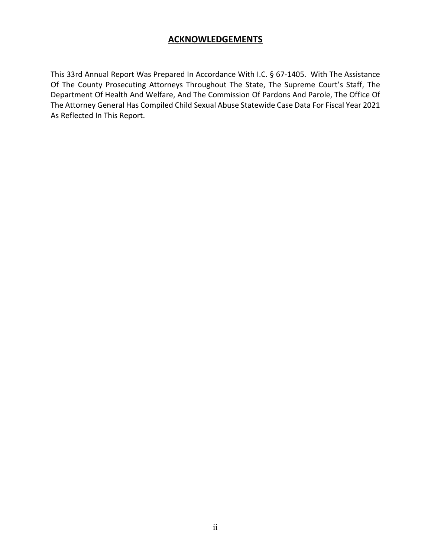# **ACKNOWLEDGEMENTS**

This 33rd Annual Report Was Prepared In Accordance With I.C. § 67-1405. With The Assistance Of The County Prosecuting Attorneys Throughout The State, The Supreme Court's Staff, The Department Of Health And Welfare, And The Commission Of Pardons And Parole, The Office Of The Attorney General Has Compiled Child Sexual Abuse Statewide Case Data For Fiscal Year 2021 As Reflected In This Report.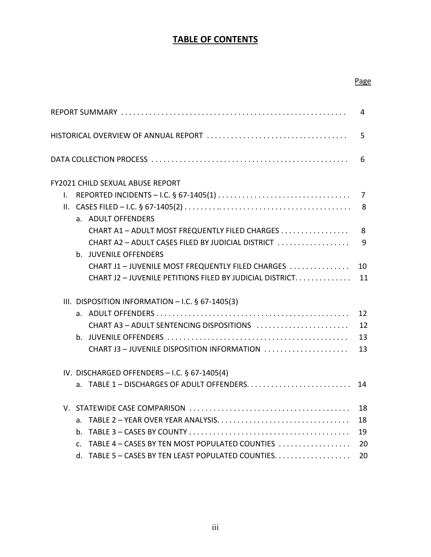# **TABLE OF CONTENTS**

### Page

|    |                                                                                                                      | 4  |
|----|----------------------------------------------------------------------------------------------------------------------|----|
|    |                                                                                                                      | 5  |
|    |                                                                                                                      | 6  |
|    | FY2021 CHILD SEXUAL ABUSE REPORT                                                                                     |    |
| L. |                                                                                                                      | 7  |
|    |                                                                                                                      | 8  |
|    | a. ADULT OFFENDERS                                                                                                   |    |
|    | CHART A1 - ADULT MOST FREQUENTLY FILED CHARGES                                                                       | 8  |
|    | CHART A2 - ADULT CASES FILED BY JUDICIAL DISTRICT                                                                    | 9  |
|    | b. JUVENILE OFFENDERS                                                                                                |    |
|    | CHART J1 - JUVENILE MOST FREQUENTLY FILED CHARGES                                                                    | 10 |
|    | CHART J2 - JUVENILE PETITIONS FILED BY JUDICIAL DISTRICT                                                             | 11 |
|    | III. DISPOSITION INFORMATION $-$ I.C. § 67-1405(3)                                                                   |    |
|    |                                                                                                                      | 12 |
|    | CHART A3 - ADULT SENTENCING DISPOSITIONS                                                                             | 12 |
|    |                                                                                                                      | 13 |
|    | CHART J3 - JUVENILE DISPOSITION INFORMATION                                                                          | 13 |
|    | IV. DISCHARGED OFFENDERS - I.C. § 67-1405(4)                                                                         |    |
|    |                                                                                                                      | 14 |
|    |                                                                                                                      | 18 |
|    |                                                                                                                      | 18 |
|    | b. TABLE $3 - CASES$ BY COUNTY $\ldots \ldots \ldots \ldots \ldots \ldots \ldots \ldots \ldots \ldots \ldots \ldots$ | 19 |
|    | c. TABLE $4$ – CASES BY TEN MOST POPULATED COUNTIES $\ldots \ldots \ldots \ldots$                                    | 20 |
|    | d. TABLE 5 – CASES BY TEN LEAST POPULATED COUNTIES. $\ldots \ldots \ldots \ldots$                                    | 20 |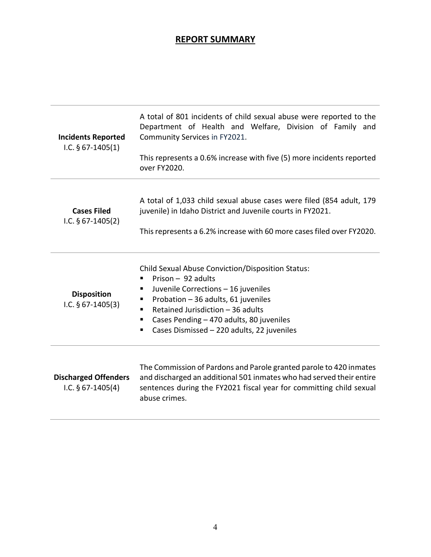# **REPORT SUMMARY**

| <b>Incidents Reported</b><br>I.C. $§$ 67-1405(1)   | A total of 801 incidents of child sexual abuse were reported to the<br>Department of Health and Welfare, Division of Family and<br>Community Services in FY2021.<br>This represents a 0.6% increase with five (5) more incidents reported                                                            |
|----------------------------------------------------|------------------------------------------------------------------------------------------------------------------------------------------------------------------------------------------------------------------------------------------------------------------------------------------------------|
|                                                    | over FY2020.                                                                                                                                                                                                                                                                                         |
| <b>Cases Filed</b><br>I.C. $§$ 67-1405(2)          | A total of 1,033 child sexual abuse cases were filed (854 adult, 179<br>juvenile) in Idaho District and Juvenile courts in FY2021.<br>This represents a 6.2% increase with 60 more cases filed over FY2020.                                                                                          |
|                                                    |                                                                                                                                                                                                                                                                                                      |
| <b>Disposition</b><br>I.C. $§ 67-1405(3)$          | Child Sexual Abuse Conviction/Disposition Status:<br>Prison $-92$ adults<br>Juvenile Corrections - 16 juveniles<br>Probation - 36 adults, 61 juveniles<br>Retained Jurisdiction - 36 adults<br>٠<br>Cases Pending - 470 adults, 80 juveniles<br>٠<br>Cases Dismissed - 220 adults, 22 juveniles<br>٠ |
| <b>Discharged Offenders</b><br>I.C. $§$ 67-1405(4) | The Commission of Pardons and Parole granted parole to 420 inmates<br>and discharged an additional 501 inmates who had served their entire<br>sentences during the FY2021 fiscal year for committing child sexual<br>abuse crimes.                                                                   |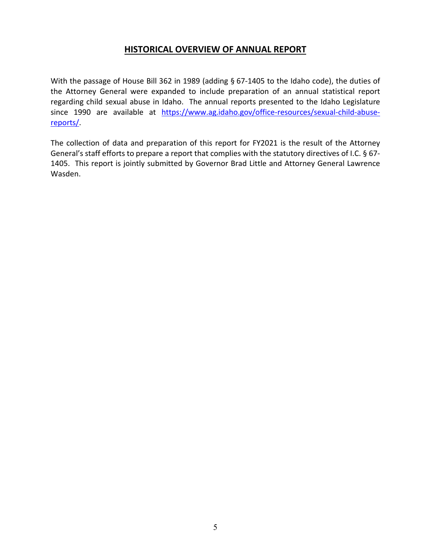# **HISTORICAL OVERVIEW OF ANNUAL REPORT**

With the passage of House Bill 362 in 1989 (adding § 67-1405 to the Idaho code), the duties of the Attorney General were expanded to include preparation of an annual statistical report regarding child sexual abuse in Idaho. The annual reports presented to the Idaho Legislature since 1990 are available at [https://www.ag.idaho.gov/office-resources/sexual-child-abuse](https://www.ag.idaho.gov/office-resources/sexual-child-abuse-reports/)[reports/.](https://www.ag.idaho.gov/office-resources/sexual-child-abuse-reports/)

The collection of data and preparation of this report for FY2021 is the result of the Attorney General's staff efforts to prepare a report that complies with the statutory directives of I.C. § 67- 1405. This report is jointly submitted by Governor Brad Little and Attorney General Lawrence Wasden.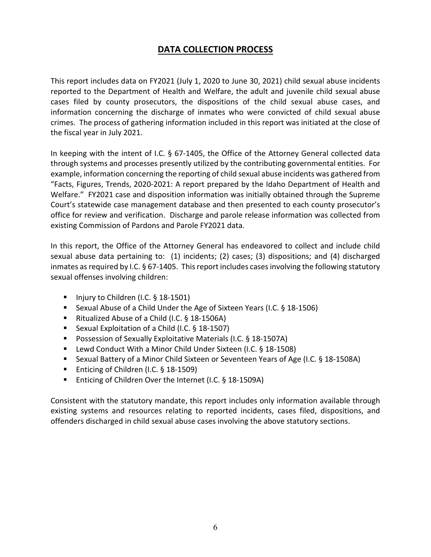# **DATA COLLECTION PROCESS**

This report includes data on FY2021 (July 1, 2020 to June 30, 2021) child sexual abuse incidents reported to the Department of Health and Welfare, the adult and juvenile child sexual abuse cases filed by county prosecutors, the dispositions of the child sexual abuse cases, and information concerning the discharge of inmates who were convicted of child sexual abuse crimes. The process of gathering information included in this report was initiated at the close of the fiscal year in July 2021.

In keeping with the intent of I.C. § 67-1405, the Office of the Attorney General collected data through systems and processes presently utilized by the contributing governmental entities. For example, information concerning the reporting of child sexual abuse incidents was gathered from "Facts, Figures, Trends, 2020-2021: A report prepared by the Idaho Department of Health and Welfare." FY2021 case and disposition information was initially obtained through the Supreme Court's statewide case management database and then presented to each county prosecutor's office for review and verification. Discharge and parole release information was collected from existing Commission of Pardons and Parole FY2021 data.

In this report, the Office of the Attorney General has endeavored to collect and include child sexual abuse data pertaining to: (1) incidents; (2) cases; (3) dispositions; and (4) discharged inmates as required by I.C. § 67-1405. This report includes cases involving the following statutory sexual offenses involving children:

- Injury to Children (I.C.  $\S$  18-1501)
- Sexual Abuse of a Child Under the Age of Sixteen Years (I.C. § 18-1506)
- Ritualized Abuse of a Child (I.C. § 18-1506A)
- Sexual Exploitation of a Child (I.C. § 18-1507)
- **Possession of Sexually Exploitative Materials (I.C. § 18-1507A)**
- Lewd Conduct With a Minor Child Under Sixteen (I.C. § 18-1508)
- Sexual Battery of a Minor Child Sixteen or Seventeen Years of Age (I.C. § 18-1508A)
- Enticing of Children (I.C. § 18-1509)
- Enticing of Children Over the Internet (I.C. § 18-1509A)

Consistent with the statutory mandate, this report includes only information available through existing systems and resources relating to reported incidents, cases filed, dispositions, and offenders discharged in child sexual abuse cases involving the above statutory sections.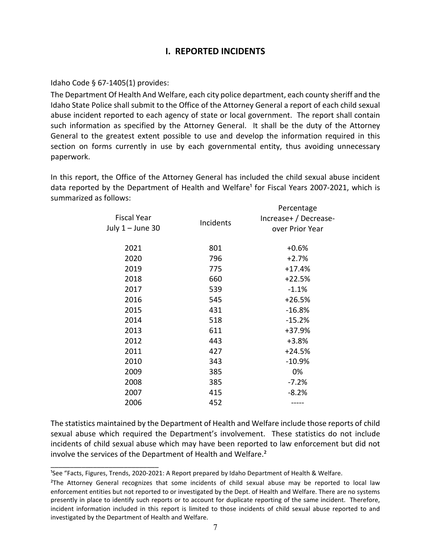# **I. REPORTED INCIDENTS**

Idaho Code § 67-1405(1) provides:

\_\_\_\_\_\_\_\_\_\_\_\_\_\_\_\_\_\_\_\_\_\_\_\_\_\_\_\_

The Department Of Health And Welfare, each city police department, each county sheriff and the Idaho State Police shall submit to the Office of the Attorney General a report of each child sexual abuse incident reported to each agency of state or local government. The report shall contain such information as specified by the Attorney General. It shall be the duty of the Attorney General to the greatest extent possible to use and develop the information required in this section on forms currently in use by each governmental entity, thus avoiding unnecessary paperwork.

In this report, the Office of the Attorney General has included the child sexual abuse incident data reported by the Department of Health and Welfare<sup>1</sup> for Fiscal Years 2007-2021, which is summarized as follows:

|                    |           | Percentage            |
|--------------------|-----------|-----------------------|
| <b>Fiscal Year</b> | Incidents | Increase+ / Decrease- |
| July $1 -$ June 30 |           | over Prior Year       |
|                    |           |                       |
| 2021               | 801       | $+0.6%$               |
| 2020               | 796       | $+2.7%$               |
| 2019               | 775       | +17.4%                |
| 2018               | 660       | $+22.5%$              |
| 2017               | 539       | $-1.1%$               |
| 2016               | 545       | $+26.5%$              |
| 2015               | 431       | $-16.8%$              |
| 2014               | 518       | $-15.2%$              |
| 2013               | 611       | +37.9%                |
| 2012               | 443       | $+3.8%$               |
| 2011               | 427       | +24.5%                |
| 2010               | 343       | $-10.9%$              |
| 2009               | 385       | 0%                    |
| 2008               | 385       | $-7.2%$               |
| 2007               | 415       | $-8.2%$               |
| 2006               | 452       |                       |
|                    |           |                       |

The statistics maintained by the Department of Health and Welfare include those reports of child sexual abuse which required the Department's involvement. These statistics do not include incidents of child sexual abuse which may have been reported to law enforcement but did not involve the services of the Department of Health and Welfare.<sup>2</sup>

<sup>&</sup>lt;sup>1</sup>See "Facts, Figures, Trends, 2020-2021: A Report prepared by Idaho Department of Health & Welfare.

<sup>&</sup>lt;sup>2</sup>The Attorney General recognizes that some incidents of child sexual abuse may be reported to local law enforcement entities but not reported to or investigated by the Dept. of Health and Welfare. There are no systems presently in place to identify such reports or to account for duplicate reporting of the same incident. Therefore, incident information included in this report is limited to those incidents of child sexual abuse reported to and investigated by the Department of Health and Welfare.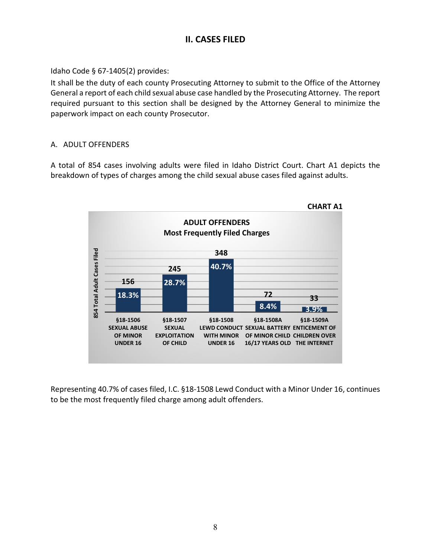# **II. CASES FILED**

Idaho Code § 67-1405(2) provides:

It shall be the duty of each county Prosecuting Attorney to submit to the Office of the Attorney General a report of each child sexual abuse case handled by the Prosecuting Attorney. The report required pursuant to this section shall be designed by the Attorney General to minimize the paperwork impact on each county Prosecutor.

### A. ADULT OFFENDERS

A total of 854 cases involving adults were filed in Idaho District Court. Chart A1 depicts the breakdown of types of charges among the child sexual abuse cases filed against adults.



Representing 40.7% of cases filed, I.C. §18-1508 Lewd Conduct with a Minor Under 16, continues to be the most frequently filed charge among adult offenders.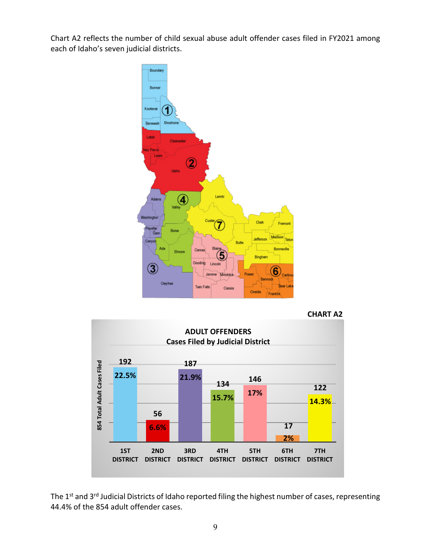Chart A2 reflects the number of child sexual abuse adult offender cases filed in FY2021 among each of Idaho's seven judicial districts.



 **CHART A2**



The 1<sup>st</sup> and 3<sup>rd</sup> Judicial Districts of Idaho reported filing the highest number of cases, representing 44.4% of the 854 adult offender cases.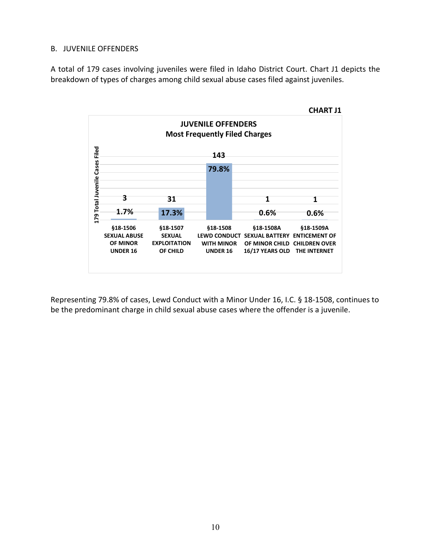#### B. JUVENILE OFFENDERS

A total of 179 cases involving juveniles were filed in Idaho District Court. Chart J1 depicts the breakdown of types of charges among child sexual abuse cases filed against juveniles.



Representing 79.8% of cases, Lewd Conduct with a Minor Under 16, I.C. § 18-1508, continues to be the predominant charge in child sexual abuse cases where the offender is a juvenile.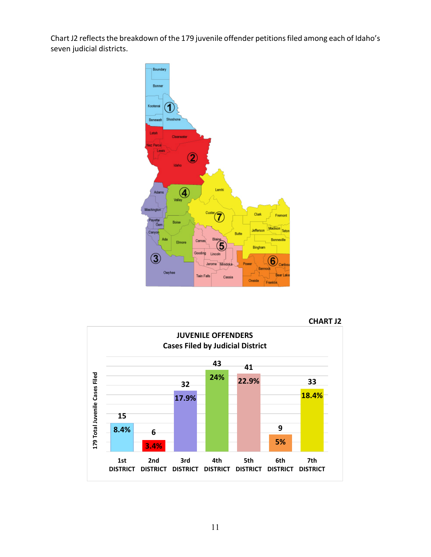Chart J2 reflects the breakdown of the 179 juvenile offender petitions filed among each of Idaho's seven judicial districts.





 **CHART J2**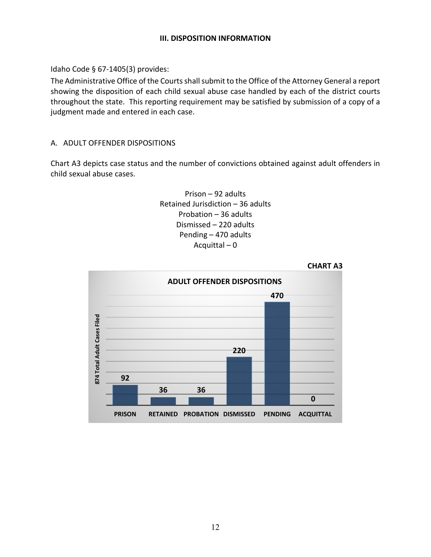#### **III. DISPOSITION INFORMATION**

Idaho Code § 67-1405(3) provides:

The Administrative Office of the Courts shall submit to the Office of the Attorney General a report showing the disposition of each child sexual abuse case handled by each of the district courts throughout the state. This reporting requirement may be satisfied by submission of a copy of a judgment made and entered in each case.

#### A. ADULT OFFENDER DISPOSITIONS

Chart A3 depicts case status and the number of convictions obtained against adult offenders in child sexual abuse cases.



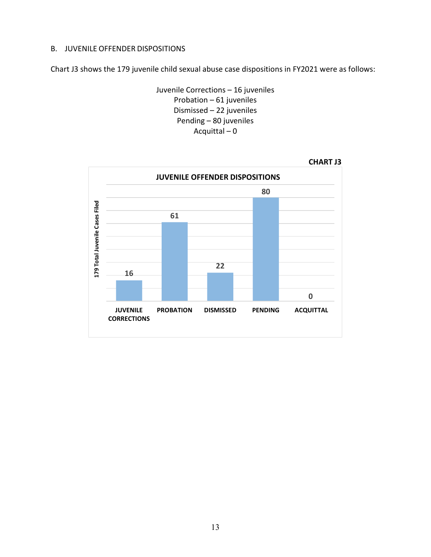#### B. JUVENILE OFFENDER DISPOSITIONS

Chart J3 shows the 179 juvenile child sexual abuse case dispositions in FY2021 were as follows:

Juvenile Corrections – 16 juveniles Probation – 61 juveniles Dismissed – 22 juveniles Pending – 80 juveniles Acquittal – 0

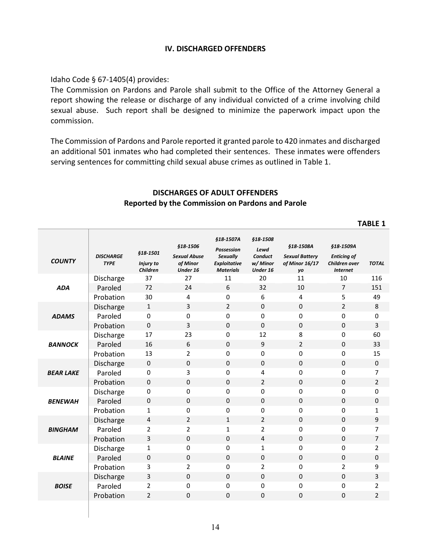#### **IV. DISCHARGED OFFENDERS**

Idaho Code § 67-1405(4) provides:

The Commission on Pardons and Parole shall submit to the Office of the Attorney General a report showing the release or discharge of any individual convicted of a crime involving child sexual abuse. Such report shall be designed to minimize the paperwork impact upon the commission.

The Commission of Pardons and Parole reported it granted parole to 420 inmates and discharged an additional 501 inmates who had completed their sentences. These inmates were offenders serving sentences for committing child sexual abuse crimes as outlined in Table 1.

|                  |                                 |                                          |                                                         |                                                                                              |                                                     |                                                                   |                                                                     | <b>TABLE 1</b> |
|------------------|---------------------------------|------------------------------------------|---------------------------------------------------------|----------------------------------------------------------------------------------------------|-----------------------------------------------------|-------------------------------------------------------------------|---------------------------------------------------------------------|----------------|
| <b>COUNTY</b>    | <b>DISCHARGE</b><br><b>TYPE</b> | §18-1501<br><b>Injury to</b><br>Children | §18-1506<br><b>Sexual Abuse</b><br>of Minor<br>Under 16 | §18-1507A<br><b>Possession</b><br><b>Sexually</b><br><b>Exploitative</b><br><b>Materials</b> | §18-1508<br>Lewd<br>Conduct<br>w/ Minor<br>Under 16 | §18-1508A<br><b>Sexual Battery</b><br>of Minor 16/17<br><b>VO</b> | §18-1509A<br><b>Enticing of</b><br>Children over<br><b>Internet</b> | <b>TOTAL</b>   |
|                  | Discharge                       | 37                                       | 27                                                      | 11                                                                                           | 20                                                  | 11                                                                | 10                                                                  | 116            |
| <b>ADA</b>       | Paroled                         | 72                                       | 24                                                      | 6                                                                                            | 32                                                  | 10                                                                | $\overline{7}$                                                      | 151            |
|                  | Probation                       | 30                                       | 4                                                       | 0                                                                                            | 6                                                   | 4                                                                 | 5                                                                   | 49             |
|                  | Discharge                       | $\mathbf{1}$                             | 3                                                       | $\overline{2}$                                                                               | $\Omega$                                            | $\Omega$                                                          | $\overline{2}$                                                      | 8              |
| <b>ADAMS</b>     | Paroled                         | $\Omega$                                 | $\Omega$                                                | $\Omega$                                                                                     | 0                                                   | 0                                                                 | $\Omega$                                                            | $\Omega$       |
|                  | Probation                       | $\Omega$                                 | 3                                                       | $\Omega$                                                                                     | $\Omega$                                            | 0                                                                 | $\Omega$                                                            | 3              |
|                  | Discharge                       | 17                                       | 23                                                      | 0                                                                                            | 12                                                  | 8                                                                 | 0                                                                   | 60             |
| <b>BANNOCK</b>   | Paroled                         | 16                                       | 6                                                       | $\boldsymbol{0}$                                                                             | 9                                                   | $\overline{2}$                                                    | $\mathbf 0$                                                         | 33             |
|                  | Probation                       | 13                                       | $\overline{2}$                                          | $\pmb{0}$                                                                                    | $\mathbf 0$                                         | 0                                                                 | 0                                                                   | 15             |
|                  | Discharge                       | $\mathbf{0}$                             | $\pmb{0}$                                               | $\mathbf 0$                                                                                  | $\mathbf 0$                                         | $\pmb{0}$                                                         | $\mathbf 0$                                                         | 0              |
| <b>BEAR LAKE</b> | Paroled                         | $\mathbf 0$                              | 3                                                       | $\pmb{0}$                                                                                    | 4                                                   | 0                                                                 | 0                                                                   | 7              |
|                  | Probation                       | $\mathbf 0$                              | $\mathbf 0$                                             | $\mathbf 0$                                                                                  | $\overline{2}$                                      | $\mathbf 0$                                                       | $\mathbf 0$                                                         | $\overline{2}$ |
|                  | Discharge                       | $\mathbf 0$                              | $\mathbf 0$                                             | $\mathbf 0$                                                                                  | $\mathbf 0$                                         | 0                                                                 | 0                                                                   | $\mathsf 0$    |
| <b>BENEWAH</b>   | Paroled                         | $\Omega$                                 | $\mathbf 0$                                             | $\mathbf 0$                                                                                  | $\mathbf 0$                                         | $\mathbf 0$                                                       | $\mathbf 0$                                                         | $\pmb{0}$      |
|                  | Probation                       | $\mathbf{1}$                             | 0                                                       | $\mathbf 0$                                                                                  | 0                                                   | 0                                                                 | 0                                                                   | $\mathbf{1}$   |
|                  | Discharge                       | 4                                        | $\overline{2}$                                          | $\mathbf{1}$                                                                                 | $\overline{2}$                                      | $\mathbf 0$                                                       | $\mathbf 0$                                                         | 9              |
| <b>BINGHAM</b>   | Paroled                         | $\overline{2}$                           | $\overline{2}$                                          | $\mathbf{1}$                                                                                 | $\overline{2}$                                      | $\mathbf 0$                                                       | 0                                                                   | 7              |
|                  | Probation                       | 3                                        | $\mathbf 0$                                             | $\mathbf 0$                                                                                  | $\overline{4}$                                      | $\mathbf 0$                                                       | $\Omega$                                                            | $\overline{7}$ |
|                  | Discharge                       | 1                                        | $\mathbf 0$                                             | $\mathbf 0$                                                                                  | $\mathbf{1}$                                        | 0                                                                 | 0                                                                   | $\overline{2}$ |
| <b>BLAINE</b>    | Paroled                         | $\Omega$                                 | $\mathbf 0$                                             | $\mathbf 0$                                                                                  | $\mathbf 0$                                         | $\mathbf 0$                                                       | $\mathbf 0$                                                         | $\pmb{0}$      |
|                  | Probation                       | 3                                        | $\overline{2}$                                          | $\Omega$                                                                                     | $\overline{2}$                                      | $\Omega$                                                          | $\overline{2}$                                                      | 9              |
|                  | Discharge                       | 3                                        | $\mathbf 0$                                             | $\mathbf 0$                                                                                  | $\mathbf 0$                                         | $\mathbf 0$                                                       | $\mathbf 0$                                                         | 3              |
| <b>BOISE</b>     | Paroled                         | 2                                        | $\mathbf 0$                                             | $\mathbf 0$                                                                                  | 0                                                   | 0                                                                 | 0                                                                   | $\overline{2}$ |
|                  | Probation                       | $\overline{2}$                           | $\mathbf 0$                                             | $\mathbf 0$                                                                                  | $\mathbf 0$                                         | $\mathbf 0$                                                       | $\mathbf 0$                                                         | $\overline{2}$ |
|                  |                                 |                                          |                                                         |                                                                                              |                                                     |                                                                   |                                                                     |                |

#### **DISCHARGES OF ADULT OFFENDERS Reported by the Commission on Pardons and Parole**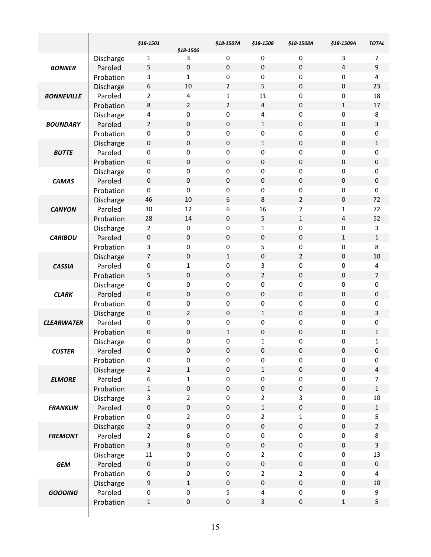|                   |           | §18-1501       | <b>§18-1506</b> | §18-1507A    | <b>§18-1508</b>         | §18-1508A      | §18-1509A      | <b>TOTAL</b>            |
|-------------------|-----------|----------------|-----------------|--------------|-------------------------|----------------|----------------|-------------------------|
|                   | Discharge | 1              | 3               | 0            | $\pmb{0}$               | $\pmb{0}$      | 3              | 7                       |
| <b>BONNER</b>     | Paroled   | 5              | $\pmb{0}$       | $\pmb{0}$    | $\pmb{0}$               | 0              | $\overline{4}$ | 9                       |
|                   | Probation | 3              | 1               | 0            | 0                       | 0              | $\pmb{0}$      | 4                       |
|                   | Discharge | 6              | 10              | $\mathbf 2$  | 5                       | $\pmb{0}$      | $\pmb{0}$      | 23                      |
| <b>BONNEVILLE</b> | Paroled   | $\overline{2}$ | 4               | $\mathbf 1$  | 11                      | 0              | $\pmb{0}$      | 18                      |
|                   | Probation | 8              | $\overline{2}$  | $\mathbf 2$  | $\overline{\mathbf{4}}$ | $\pmb{0}$      | $\mathbf 1$    | 17                      |
|                   | Discharge | 4              | $\mathbf 0$     | $\pmb{0}$    | 4                       | $\pmb{0}$      | 0              | 8                       |
| <b>BOUNDARY</b>   | Paroled   | $\overline{2}$ | $\pmb{0}$       | $\pmb{0}$    | $\mathbf{1}$            | $\pmb{0}$      | 0              | 3                       |
|                   | Probation | $\pmb{0}$      | $\pmb{0}$       | $\pmb{0}$    | 0                       | 0              | 0              | 0                       |
|                   | Discharge | $\pmb{0}$      | $\pmb{0}$       | $\pmb{0}$    | $\mathbf{1}$            | 0              | $\pmb{0}$      | $\mathbf{1}$            |
| <b>BUTTE</b>      | Paroled   | $\pmb{0}$      | $\pmb{0}$       | $\pmb{0}$    | $\pmb{0}$               | 0              | $\pmb{0}$      | 0                       |
|                   | Probation | $\pmb{0}$      | $\pmb{0}$       | $\pmb{0}$    | $\pmb{0}$               | 0              | $\pmb{0}$      | 0                       |
|                   | Discharge | 0              | 0               | $\pmb{0}$    | 0                       | 0              | 0              | 0                       |
| <b>CAMAS</b>      | Paroled   | $\pmb{0}$      | $\pmb{0}$       | $\pmb{0}$    | 0                       | 0              | $\pmb{0}$      | 0                       |
|                   | Probation | 0              | $\mathbf 0$     | 0            | $\pmb{0}$               | 0              | 0              | 0                       |
|                   | Discharge | 46             | 10              | 6            | 8                       | $\overline{2}$ | 0              | 72                      |
| <b>CANYON</b>     | Paroled   | 30             | 12              | 6            | 16                      | $\overline{7}$ | $\mathbf{1}$   | 72                      |
|                   | Probation | 28             | 14              | $\pmb{0}$    | 5                       | $\mathbf{1}$   | $\overline{4}$ | 52                      |
|                   | Discharge | $\mathbf 2$    | $\pmb{0}$       | 0            | $\mathbf{1}$            | 0              | $\mathsf 0$    | 3                       |
| <b>CARIBOU</b>    | Paroled   | $\pmb{0}$      | $\pmb{0}$       | $\pmb{0}$    | $\pmb{0}$               | $\pmb{0}$      | $\mathbf{1}$   | 1                       |
|                   | Probation | 3              | $\pmb{0}$       | $\pmb{0}$    | 5                       | 0              | 0              | 8                       |
|                   | Discharge | $\overline{7}$ | $\pmb{0}$       | $\mathbf{1}$ | $\pmb{0}$               | $\overline{2}$ | $\pmb{0}$      | 10                      |
| <b>CASSIA</b>     | Paroled   | 0              | $\mathbf 1$     | 0            | 3                       | 0              | $\mathbf 0$    | 4                       |
|                   | Probation | 5              | $\pmb{0}$       | $\pmb{0}$    | $\overline{2}$          | $\pmb{0}$      | $\pmb{0}$      | $\overline{7}$          |
|                   | Discharge | $\pmb{0}$      | $\mathbf 0$     | $\pmb{0}$    | $\mathsf 0$             | $\pmb{0}$      | 0              | 0                       |
| <b>CLARK</b>      | Paroled   | $\mathbf 0$    | $\pmb{0}$       | $\mathbf 0$  | $\pmb{0}$               | $\pmb{0}$      | $\pmb{0}$      | 0                       |
|                   | Probation | 0              | $\pmb{0}$       | $\pmb{0}$    | 0                       | 0              | $\mathbf 0$    | 0                       |
|                   | Discharge | $\pmb{0}$      | $\mathbf 2$     | $\pmb{0}$    | $\mathbf{1}$            | $\pmb{0}$      | $\pmb{0}$      | 3                       |
| <b>CLEARWATER</b> | Paroled   | 0              | $\pmb{0}$       | $\pmb{0}$    | $\pmb{0}$               | 0              | 0              | 0                       |
|                   | Probation | $\pmb{0}$      | $\mathbf 0$     | $\mathbf 1$  | 0                       | 0              | $\pmb{0}$      | $\mathbf{1}$            |
|                   | Discharge | 0              | 0               | 0            | 1                       | 0              | 0              | $\mathbf 1$             |
| <b>CUSTER</b>     | Paroled   | $\pmb{0}$      | 0               | 0            | 0                       | 0              | 0              | 0                       |
|                   | Probation | 0              | $\pmb{0}$       | $\pmb{0}$    | 0                       | $\pmb{0}$      | $\pmb{0}$      | 0                       |
|                   | Discharge | $\overline{2}$ | $\mathbf{1}$    | $\pmb{0}$    | $\mathbf 1$             | $\pmb{0}$      | $\pmb{0}$      | $\overline{\mathbf{4}}$ |
| <b>ELMORE</b>     | Paroled   | 6              | $\mathbf 1$     | $\pmb{0}$    | 0                       | 0              | $\pmb{0}$      | $\overline{7}$          |
|                   | Probation | $\mathbf 1$    | $\pmb{0}$       | $\pmb{0}$    | $\pmb{0}$               | $\pmb{0}$      | $\pmb{0}$      | $\mathbf{1}$            |
|                   | Discharge | 3              | $\overline{2}$  | $\pmb{0}$    | $\overline{2}$          | 3              | $\pmb{0}$      | $10\,$                  |
| <b>FRANKLIN</b>   | Paroled   | $\pmb{0}$      | $\pmb{0}$       | $\pmb{0}$    | $\mathbf 1$             | $\pmb{0}$      | $\mathbf 0$    | $\mathbf{1}$            |
|                   | Probation | 0              | $\overline{2}$  | $\pmb{0}$    | $\overline{a}$          | $\mathbf 1$    | $\pmb{0}$      | 5                       |
|                   | Discharge | $\overline{2}$ | $\mathbf 0$     | $\pmb{0}$    | $\mathbf 0$             | $\pmb{0}$      | $\pmb{0}$      | $\overline{2}$          |
| <b>FREMONT</b>    | Paroled   | $\overline{2}$ | 6               | $\pmb{0}$    | 0                       | 0              | 0              | 8                       |
|                   | Probation | $\mathbf{3}$   | $\pmb{0}$       | $\pmb{0}$    | 0                       | $\pmb{0}$      | $\pmb{0}$      | 3                       |
|                   | Discharge | 11             | $\pmb{0}$       | $\pmb{0}$    | $\overline{2}$          | 0              | 0              | 13                      |
| <b>GEM</b>        | Paroled   | $\pmb{0}$      | $\pmb{0}$       | $\pmb{0}$    | $\mathsf{O}\xspace$     | $\pmb{0}$      | $\pmb{0}$      | $\mathsf{O}\xspace$     |
|                   | Probation | $\pmb{0}$      | $\pmb{0}$       | $\pmb{0}$    | $\overline{2}$          | $\overline{2}$ | 0              | 4                       |
|                   | Discharge | 9              | $1\,$           | $\pmb{0}$    | $\pmb{0}$               | $\pmb{0}$      | 0              | $10\,$                  |
| <b>GOODING</b>    | Paroled   | 0              | $\pmb{0}$       | 5            | 4                       | 0              | $\pmb{0}$      | 9                       |
|                   | Probation | $\mathbf 1$    | $\mathbf 0$     | $\mathbf 0$  | $\mathbf{3}$            | $\pmb{0}$      | $\mathbf 1$    | 5                       |
|                   |           |                |                 |              |                         |                |                |                         |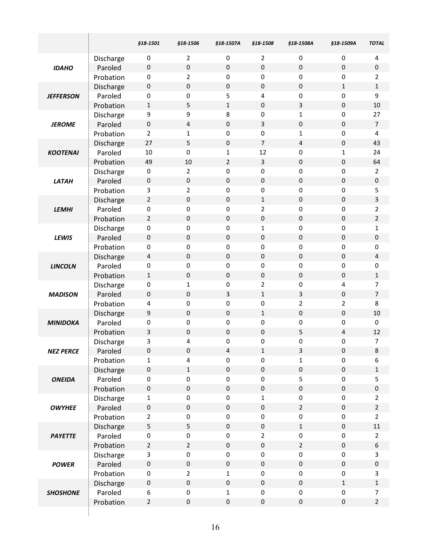|                  |                      | §18-1501                            | <b>§18-1506</b>           | §18-1507A                | §18-1508                 | §18-1508A                 | §18-1509A              | <b>TOTAL</b>                     |
|------------------|----------------------|-------------------------------------|---------------------------|--------------------------|--------------------------|---------------------------|------------------------|----------------------------------|
|                  | Discharge            | 0                                   | $\overline{2}$            | 0                        | $\overline{2}$           | $\pmb{0}$                 | $\pmb{0}$              | 4                                |
| <b>IDAHO</b>     | Paroled              | $\pmb{0}$                           | $\mathbf 0$               | $\pmb{0}$                | $\pmb{0}$                | 0                         | $\pmb{0}$              | 0                                |
|                  | Probation            | $\pmb{0}$                           | 2                         | $\pmb{0}$                | 0                        | 0                         | 0                      | 2                                |
|                  | Discharge            | $\pmb{0}$                           | $\mathbf 0$               | $\pmb{0}$                | $\pmb{0}$                | $\pmb{0}$                 | $\mathbf{1}$           | 1                                |
| <b>JEFFERSON</b> | Paroled              | $\mathsf 0$                         | 0                         | 5                        | 4                        | 0                         | $\mathbf 0$            | 9                                |
|                  | Probation            | $\mathbf{1}$                        | 5                         | $\mathbf{1}$             | 0                        | 3                         | $\pmb{0}$              | 10                               |
|                  | Discharge            | 9                                   | 9                         | 8                        | 0                        | 1                         | $\pmb{0}$              | 27                               |
| <b>JEROME</b>    | Paroled              | $\pmb{0}$                           | $\overline{\mathbf{4}}$   | 0                        | 3                        | $\pmb{0}$                 | $\mathbf 0$            | $\overline{7}$                   |
|                  | Probation            | $\overline{2}$                      | 1                         | $\pmb{0}$                | 0                        | 1                         | 0                      | 4                                |
|                  | Discharge            | 27                                  | 5                         | $\pmb{0}$                | $\overline{7}$           | $\overline{\mathbf{4}}$   | $\mathbf 0$            | 43                               |
| <b>KOOTENAI</b>  | Paroled              | 10                                  | 0                         | 1                        | 12                       | $\pmb{0}$                 | 1                      | 24                               |
|                  | Probation            | 49                                  | 10                        | $\mathbf 2$              | 3                        | $\pmb{0}$                 | $\boldsymbol{0}$       | 64                               |
|                  | Discharge            | $\pmb{0}$                           | 2                         | $\pmb{0}$                | 0                        | $\pmb{0}$                 | $\pmb{0}$              | 2                                |
| LATAH            | Paroled              | $\pmb{0}$                           | $\mathbf 0$               | $\pmb{0}$                | 0                        | $\pmb{0}$                 | $\pmb{0}$              | $\pmb{0}$                        |
|                  | Probation            | 3                                   | $\overline{2}$            | $\pmb{0}$                | 0                        | $\pmb{0}$                 | $\mathbf 0$            | 5                                |
|                  | Discharge            | $\overline{2}$                      | $\pmb{0}$                 | 0                        | $\mathbf{1}$             | $\pmb{0}$                 | $\mathbf 0$            | 3                                |
| <b>LEMHI</b>     | Paroled              | $\mathsf 0$                         | $\pmb{0}$                 | $\pmb{0}$                | 2                        | $\pmb{0}$                 | 0                      | 2                                |
|                  | Probation            | $\overline{2}$                      | $\pmb{0}$                 | 0                        | $\pmb{0}$                | $\pmb{0}$                 | $\pmb{0}$              | 2                                |
|                  | Discharge            | $\pmb{0}$                           | 0                         | 0                        | 1                        | 0                         | $\pmb{0}$              | $\mathbf 1$                      |
| <b>LEWIS</b>     | Paroled              | $\pmb{0}$                           | $\pmb{0}$                 | 0                        | $\pmb{0}$                | $\pmb{0}$                 | $\pmb{0}$              | 0                                |
|                  | Probation            | $\pmb{0}$                           | 0                         | 0                        | 0                        | 0                         | 0                      | 0                                |
|                  | Discharge            | 4                                   | $\pmb{0}$                 | 0                        | $\pmb{0}$                | $\pmb{0}$                 | $\pmb{0}$              | $\sqrt{4}$                       |
| <b>LINCOLN</b>   | Paroled              | $\mathsf 0$                         | $\pmb{0}$                 | 0                        | $\mathsf 0$              | $\mathsf 0$               | $\mathbf 0$            | 0                                |
|                  | Probation            | 1                                   | $\pmb{0}$                 | 0                        | 0                        | $\pmb{0}$                 | $\boldsymbol{0}$       | 1                                |
|                  | Discharge            | 0                                   | 1                         | $\pmb{0}$                | 2                        | $\pmb{0}$                 | 4                      | $\overline{7}$                   |
| <b>MADISON</b>   | Paroled              | $\pmb{0}$                           | $\mathbf 0$               | 3                        | $\mathbf{1}$             | 3                         | $\pmb{0}$              | $\overline{7}$                   |
|                  | Probation            | $\overline{\mathbf{4}}$             | $\pmb{0}$                 | 0                        | 0                        | $\overline{2}$            | $\overline{2}$         | 8                                |
|                  | Discharge            | 9                                   | $\mathbf 0$               | $\pmb{0}$                | $\mathbf{1}$             | $\pmb{0}$                 | $\pmb{0}$              | 10                               |
| <b>MINIDOKA</b>  | Paroled              | $\pmb{0}$                           | $\pmb{0}$                 | $\pmb{0}$                | $\pmb{0}$                | $\pmb{0}$                 | 0                      | $\pmb{0}$                        |
|                  | Probation            | 3                                   | 0                         | 0                        | $\pmb{0}$                | 5                         | 4                      | 12                               |
|                  | Discharge            | 3                                   | 4                         | 0                        | 0                        | 0                         | $\pmb{0}$              | 7                                |
| NEZ PERCE        | Paroled              | 0                                   | 0                         | 4                        | 1                        | 3                         | $\pmb{0}$              | $\bf 8$                          |
|                  | Probation            | $\mathbf{1}$<br>$\mathsf{O}\xspace$ | 4                         | $\pmb{0}$<br>$\mathbf 0$ | 0<br>$\mathsf{O}\xspace$ | $\mathbf{1}$<br>$\pmb{0}$ | $\pmb{0}$<br>$\pmb{0}$ | $\boldsymbol{6}$<br>$\mathbf{1}$ |
|                  | Discharge<br>Paroled | $\mathsf 0$                         | $\mathbf{1}$<br>$\pmb{0}$ | $\mathsf 0$              | 0                        | 5                         | $\pmb{0}$              | 5                                |
| <b>ONEIDA</b>    | Probation            | $\pmb{0}$                           | $\pmb{0}$                 | $\pmb{0}$                | $\mathsf{O}\xspace$      | $\pmb{0}$                 | $\pmb{0}$              | $\pmb{0}$                        |
|                  | Discharge            | $\mathbf{1}$                        | $\pmb{0}$                 | $\pmb{0}$                | $\mathbf{1}$             | $\pmb{0}$                 | $\pmb{0}$              | $\overline{2}$                   |
| <b>OWYHEE</b>    | Paroled              | $\mathsf{O}\xspace$                 | $\pmb{0}$                 | $\pmb{0}$                | $\pmb{0}$                | $\overline{2}$            | $\pmb{0}$              | $\overline{2}$                   |
|                  | Probation            | $\overline{2}$                      | 0                         | $\pmb{0}$                | 0                        | 0                         | $\pmb{0}$              | $\overline{2}$                   |
|                  | Discharge            | 5                                   | 5                         | $\pmb{0}$                | $\pmb{0}$                | $\mathbf 1$               | $\pmb{0}$              | 11                               |
| <b>PAYETTE</b>   | Paroled              | 0                                   | $\pmb{0}$                 | $\pmb{0}$                | $\overline{2}$           | $\pmb{0}$                 | 0                      | $\overline{2}$                   |
|                  | Probation            | $\overline{2}$                      | $\overline{2}$            | $\pmb{0}$                | $\pmb{0}$                | $\overline{2}$            | $\pmb{0}$              | $\boldsymbol{6}$                 |
|                  | Discharge            | 3                                   | 0                         | $\pmb{0}$                | 0                        | 0                         | $\pmb{0}$              | 3                                |
| <b>POWER</b>     | Paroled              | $\pmb{0}$                           | $\mathbf 0$               | $\pmb{0}$                | $\mathsf{O}\xspace$      | $\pmb{0}$                 | $\pmb{0}$              | $\pmb{0}$                        |
|                  | Probation            | $\mathsf 0$                         | $\overline{2}$            | $\mathbf{1}$             | 0                        | $\pmb{0}$                 | $\pmb{0}$              | 3                                |
|                  | Discharge            | $\pmb{0}$                           | $\mathbf 0$               | $\pmb{0}$                | $\pmb{0}$                | $\pmb{0}$                 | $\mathbf{1}$           | $\mathbf{1}$                     |
| <b>SHOSHONE</b>  | Paroled              | 6                                   | $\pmb{0}$                 | $\mathbf 1$              | 0                        | $\pmb{0}$                 | $\pmb{0}$              | $\overline{7}$                   |
|                  | Probation            | $\overline{2}$                      | $\mathsf{O}\xspace$       | $\mathbf 0$              | $\pmb{0}$                | $\pmb{0}$                 | $\pmb{0}$              | $\overline{2}$                   |
|                  |                      |                                     |                           |                          |                          |                           |                        |                                  |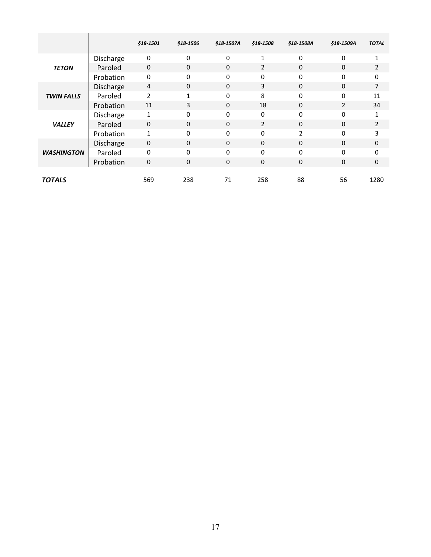|                   |           | §18-1501       | §18-1506     | §18-1507A | §18-1508       | §18-1508A   | §18-1509A      | <b>TOTAL</b>   |
|-------------------|-----------|----------------|--------------|-----------|----------------|-------------|----------------|----------------|
|                   | Discharge | 0              | 0            | 0         | $\mathbf{1}$   | 0           | 0              | 1              |
| <b>TETON</b>      | Paroled   | $\mathbf 0$    | $\mathbf 0$  | 0         | $\overline{2}$ | $\mathbf 0$ | 0              | 2              |
|                   | Probation | 0              | 0            | 0         | 0              | 0           | O              | 0              |
|                   | Discharge | $\overline{4}$ | 0            | 0         | 3              | $\mathbf 0$ | $\Omega$       | 7              |
| <b>TWIN FALLS</b> | Paroled   | $\overline{2}$ | $\mathbf{1}$ | 0         | 8              | 0           | 0              | 11             |
|                   | Probation | 11             | 3            | 0         | 18             | $\mathbf 0$ | $\mathfrak{p}$ | 34             |
|                   | Discharge | $\mathbf{1}$   | $\Omega$     | 0         | $\Omega$       | $\Omega$    | $\Omega$       | $\mathbf{1}$   |
| <b>VALLEY</b>     | Paroled   | $\Omega$       | $\mathbf 0$  | $\Omega$  | $\overline{2}$ | $\mathbf 0$ | 0              | $\overline{2}$ |
|                   | Probation | $\mathbf{1}$   | 0            | 0         | 0              | 2           | 0              | 3              |
|                   | Discharge | 0              | $\mathbf 0$  | $\Omega$  | $\Omega$       | $\mathbf 0$ | $\Omega$       | 0              |
| <b>WASHINGTON</b> | Paroled   | 0              | 0            | 0         | 0              | 0           | $\Omega$       | 0              |
|                   | Probation | 0              | $\mathbf 0$  | 0         | 0              | $\mathbf 0$ | 0              | $\mathbf 0$    |
|                   |           |                |              |           |                |             |                |                |
| <b>TOTALS</b>     |           | 569            | 238          | 71        | 258            | 88          | 56             | 1280           |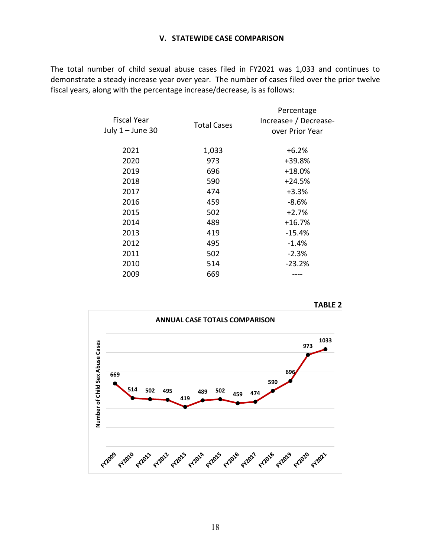#### **V. STATEWIDE CASE COMPARISON**

The total number of child sexual abuse cases filed in FY2021 was 1,033 and continues to demonstrate a steady increase year over year. The number of cases filed over the prior twelve fiscal years, along with the percentage increase/decrease, is as follows:

| <b>Fiscal Year</b><br>July 1 - June 30 | <b>Total Cases</b> | Percentage<br>Increase+ / Decrease-<br>over Prior Year |
|----------------------------------------|--------------------|--------------------------------------------------------|
|                                        |                    |                                                        |
| 2021                                   | 1,033              | $+6.2%$                                                |
| 2020                                   | 973                | +39.8%                                                 |
| 2019                                   | 696                | $+18.0%$                                               |
| 2018                                   | 590                | +24.5%                                                 |
| 2017                                   | 474                | $+3.3%$                                                |
| 2016                                   | 459                | $-8.6%$                                                |
| 2015                                   | 502                | $+2.7%$                                                |
| 2014                                   | 489                | $+16.7%$                                               |
| 2013                                   | 419                | -15.4%                                                 |
| 2012                                   | 495                | -1.4%                                                  |
| 2011                                   | 502                | $-2.3%$                                                |
| 2010                                   | 514                | $-23.2%$                                               |
| 2009                                   | 669                |                                                        |
|                                        |                    |                                                        |

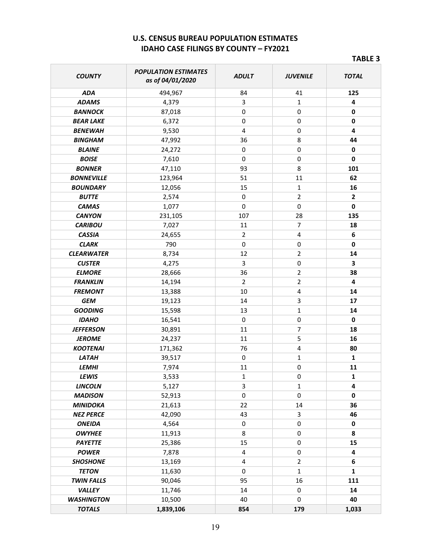### **U.S. CENSUS BUREAU POPULATION ESTIMATES IDAHO CASE FILINGS BY COUNTY – FY2021**

| ABL. |  |
|------|--|
|------|--|

| <b>COUNTY</b>                       | <b>POPULATION ESTIMATES</b><br>as of 04/01/2020 | <b>ADULT</b>    | <b>JUVENILE</b> | <b>TOTAL</b>   |
|-------------------------------------|-------------------------------------------------|-----------------|-----------------|----------------|
| <b>ADA</b>                          | 494,967                                         | 84              | 41              | 125            |
| <b>ADAMS</b>                        | 4,379                                           | 3               | $\mathbf{1}$    | 4              |
| <b>BANNOCK</b>                      | 87,018                                          | 0               | 0               | $\mathbf 0$    |
| <b>BEAR LAKE</b>                    | 6,372                                           | 0               | 0               | $\mathbf 0$    |
| <b>BENEWAH</b>                      | 9,530                                           | 4               | 0               | 4              |
| <b>BINGHAM</b>                      | 47,992                                          | 36              | 8               | 44             |
| <b>BLAINE</b>                       | 24,272                                          | $\pmb{0}$       | 0               | $\mathbf 0$    |
| <b>BOISE</b>                        | 7,610                                           | 0               | 0               | $\mathbf 0$    |
| <b>BONNER</b>                       | 47,110                                          | 93              | 8               | 101            |
| <b>BONNEVILLE</b>                   | 123,964                                         | 51              | 11              | 62             |
| <b>BOUNDARY</b>                     | 12,056                                          | 15              | $\mathbf{1}$    | 16             |
| <b>BUTTE</b>                        | 2,574                                           | 0               | $\overline{2}$  | $\overline{2}$ |
| <b>CAMAS</b>                        | 1,077                                           | 0               | 0               | $\pmb{0}$      |
| <b>CANYON</b>                       | 231,105                                         | 107             | 28              | 135            |
| <b>CARIBOU</b>                      | 7,027                                           | 11              | $\overline{7}$  | 18             |
| <b>CASSIA</b>                       | 24,655                                          | $\overline{2}$  | 4               | 6              |
| <b>CLARK</b>                        | 790                                             | $\pmb{0}$       | 0               | $\mathbf 0$    |
| <b>CLEARWATER</b>                   | 8,734                                           | 12              | $\overline{2}$  | 14             |
| <b>CUSTER</b>                       | 4,275                                           | 3               | 0               | 3              |
| <b>ELMORE</b>                       | 28,666                                          | 36              | $\overline{2}$  | 38             |
| <b>FRANKLIN</b>                     | 14,194                                          | $\overline{2}$  | $\overline{2}$  | 4              |
| <b>FREMONT</b>                      | 13,388                                          | 10              | 4               | 14             |
| <b>GEM</b>                          | 19,123                                          | 14              | 3               | 17             |
| <b>GOODING</b>                      | 15,598                                          | 13              | $\mathbf{1}$    | 14             |
| <b>IDAHO</b>                        | 16,541                                          | 0               | 0               | $\mathbf 0$    |
| <b>JEFFERSON</b>                    | 30,891                                          | 11              | $\overline{7}$  | 18             |
| <b>JEROME</b>                       | 24,237                                          | 11              | 5               | 16             |
| <b>KOOTENAI</b>                     | 171,362                                         | 76              | 4               | 80             |
| <b>LATAH</b>                        | 39,517                                          | 0               | $\mathbf{1}$    | $\mathbf{1}$   |
| <b>LEMHI</b>                        | 7,974                                           | 11              | 0               | 11             |
| <b>LEWIS</b>                        | 3,533                                           | 1               | 0               | 1              |
| <b>LINCOLN</b>                      | 5,127                                           | 3               | $\mathbf{1}$    | 4              |
| <b>MADISON</b>                      | 52,913                                          | 0               | 0               | $\mathbf 0$    |
| <b>MINIDOKA</b><br><b>NEZ PERCE</b> | 21,613                                          | 22              | 14              | 36             |
| <b>ONEIDA</b>                       | 42,090                                          | 43<br>$\pmb{0}$ | 3<br>0          | 46<br>0        |
| <b>OWYHEE</b>                       | 4,564<br>11,913                                 | 8               | 0               | 8              |
| <b>PAYETTE</b>                      |                                                 | 15              | 0               | 15             |
| <b>POWER</b>                        | 25,386                                          | 4               | 0               | 4              |
| <b>SHOSHONE</b>                     | 7,878<br>13,169                                 | 4               | $\overline{2}$  | 6              |
| <b>TETON</b>                        | 11,630                                          | 0               | $\mathbf{1}$    | $\mathbf{1}$   |
| <b>TWIN FALLS</b>                   | 90,046                                          | 95              | 16              | 111            |
| <b>VALLEY</b>                       | 11,746                                          | 14              | 0               | 14             |
| <b>WASHINGTON</b>                   | 10,500                                          | 40              | 0               | 40             |
| <b>TOTALS</b>                       | 1,839,106                                       | 854             | 179             | 1,033          |